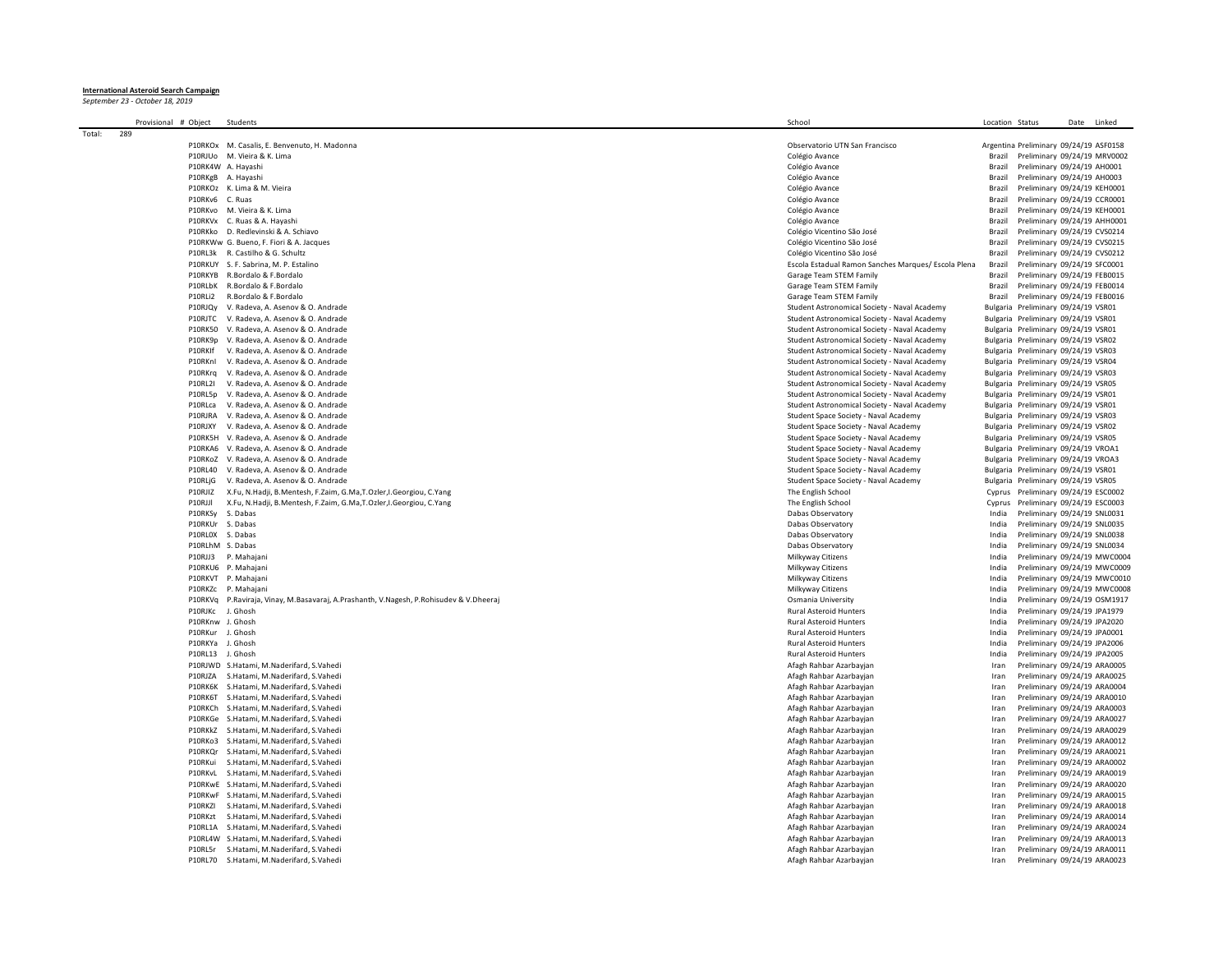**International Asteroid Search Campaign** *September 23 - October 18, 2019*

| Provisional # Object | Students                                                                       | School                                                                                       | Location Status  |                                                                            | Date Linked |  |
|----------------------|--------------------------------------------------------------------------------|----------------------------------------------------------------------------------------------|------------------|----------------------------------------------------------------------------|-------------|--|
| 289<br>Total:        |                                                                                |                                                                                              |                  |                                                                            |             |  |
|                      | P10RKOx M. Casalis, E. Benvenuto, H. Madonna                                   | Observatorio UTN San Francisco                                                               |                  | Argentina Preliminary 09/24/19 ASF0158                                     |             |  |
|                      | P10RJUo M. Vieira & K. Lima                                                    | Colégio Avance                                                                               | Brazil           | Preliminary 09/24/19 MRV0002                                               |             |  |
|                      | P10RK4W A. Havashi                                                             | Colégio Avance                                                                               | Brazil           | Preliminary 09/24/19 AH0001                                                |             |  |
|                      | P10RKgB A. Hayashi                                                             | Colégio Avance                                                                               | Brazil           | Preliminary 09/24/19 AH0003                                                |             |  |
|                      | P10RKOz K. Lima & M. Vieira                                                    | Colégio Avance                                                                               | Brazil           | Preliminary 09/24/19 KEH0001                                               |             |  |
| P10RKv6 C. Ruas      |                                                                                | Colégio Avance                                                                               | Brazil           | Preliminary 09/24/19 CCR0001                                               |             |  |
| P10RKvo              | M. Vieira & K. Lima                                                            | Colégio Avance                                                                               | Brazil           | Preliminary 09/24/19 KEH0001                                               |             |  |
|                      | P10RKVx C. Ruas & A. Hayashi                                                   | Colégio Avance                                                                               | Brazil           | Preliminary 09/24/19 AHH0001                                               |             |  |
|                      | P10RKko D. Redlevinski & A. Schiavo                                            | Colégio Vicentino São José                                                                   | Brazil           | Preliminary 09/24/19 CVS0214                                               |             |  |
|                      | P10RKWw G. Bueno, F. Fiori & A. Jacques                                        | Colégio Vicentino São José                                                                   | Brazil           | Preliminary 09/24/19 CVS0215                                               |             |  |
| P10RL3k              | R. Castilho & G. Schultz                                                       | Colégio Vicentino São José                                                                   | Brazil           | Preliminary 09/24/19 CVS0212                                               |             |  |
| P10RKUY              | S. F. Sabrina, M. P. Estaling                                                  | Escola Estadual Ramon Sanches Marques/ Escola Plena                                          | Brazil           | Preliminary 09/24/19 SFC0001                                               |             |  |
| P10RKYB              | R. Bordalo & E. Bordalo                                                        | Garage Team STEM Family                                                                      | Brazil           | Preliminary 09/24/19 FEB0015                                               |             |  |
| P10RLbK<br>P10RLi2   | R.Bordalo & F.Bordalo                                                          | Garage Team STEM Family                                                                      | Brazil<br>Brazil | Preliminary 09/24/19 FEB0014                                               |             |  |
|                      | R.Bordalo & F.Bordalo                                                          | Garage Team STEM Family                                                                      |                  | Preliminary 09/24/19 FEB0016                                               |             |  |
| P10RJQv              | V. Radeva, A. Asenov & O. Andrade                                              | Student Astronomical Society - Naval Academy                                                 |                  | Bulgaria Preliminary 09/24/19 VSR01                                        |             |  |
| P10RJTC              | V. Radeva, A. Asenov & O. Andrade                                              | Student Astronomical Society - Naval Academy                                                 |                  | Bulgaria Preliminary 09/24/19 VSR01                                        |             |  |
| <b>P10RK50</b>       | V. Radeva, A. Asenov & O. Andrade                                              | Student Astronomical Society - Naval Academy                                                 |                  | Bulgaria Preliminary 09/24/19 VSR01                                        |             |  |
| P10RK9p<br>P10RKIf   | V. Radeva, A. Asenov & O. Andrade<br>V. Radeva, A. Asenov & O. Andrade         | Student Astronomical Society - Naval Academy                                                 |                  | Bulgaria Preliminary 09/24/19 VSR02                                        |             |  |
|                      |                                                                                | Student Astronomical Society - Naval Academy                                                 |                  | Bulgaria Preliminary 09/24/19 VSR03                                        |             |  |
| P10RKnl<br>P10RKra   | V. Radeva, A. Asenov & O. Andrade<br>V. Radeva, A. Asenov & O. Andrade         | Student Astronomical Society - Naval Academy<br>Student Astronomical Society - Naval Academy |                  | Bulgaria Preliminary 09/24/19 VSR04<br>Bulgaria Preliminary 09/24/19 VSR03 |             |  |
| P10RI21              |                                                                                |                                                                                              |                  |                                                                            |             |  |
|                      | V. Radeva, A. Asenov & O. Andrade                                              | Student Astronomical Society - Naval Academy                                                 |                  | Bulgaria Preliminary 09/24/19 VSR05                                        |             |  |
| P10RL5p              | V. Radeva, A. Asenov & O. Andrade                                              | Student Astronomical Society - Naval Academy                                                 |                  | Bulgaria Preliminary 09/24/19 VSR01                                        |             |  |
| P10RLca<br>P10RIRA   | V. Radeva, A. Asenov & O. Andrade                                              | Student Astronomical Society - Naval Academy                                                 |                  | Bulgaria Preliminary 09/24/19 VSR01<br>Bulgaria Preliminary 09/24/19 VSR03 |             |  |
| P10RIXY              | V. Radeva, A. Asenov & O. Andrade<br>V. Radeva, A. Asenov & O. Andrade         | Student Space Society - Naval Academy                                                        |                  | Bulgaria Preliminary 09/24/19 VSR02                                        |             |  |
| P10RK5H              | V. Radeva, A. Asenov & O. Andrade                                              | Student Space Society - Naval Academy                                                        |                  | Bulgaria Preliminary 09/24/19 VSR05                                        |             |  |
| P10RKA6              | V. Radeva, A. Asenov & O. Andrade                                              | Student Space Society - Naval Academy<br>Student Space Society - Naval Academy               |                  | Bulgaria Preliminary 09/24/19 VROA1                                        |             |  |
| P10RKoZ              | V. Radeva, A. Asenov & O. Andrade                                              | Student Space Society - Naval Academy                                                        |                  | Bulgaria Preliminary 09/24/19 VROA3                                        |             |  |
| P10RI40              |                                                                                |                                                                                              |                  | Bulgaria Preliminary 09/24/19 VSR01                                        |             |  |
| P10RLjG              | V. Radeva, A. Asenov & O. Andrade<br>V. Radeva, A. Asenov & O. Andrade         | Student Space Society - Naval Academy<br>Student Space Society - Naval Academy               |                  | Bulgaria Preliminary 09/24/19 VSR05                                        |             |  |
| P10RJIZ              | X.Fu, N.Hadji, B.Mentesh, F.Zaim, G.Ma,T.Ozler,I.Georgiou, C.Yang              | The English School                                                                           |                  | Cyprus Preliminary 09/24/19 ESC0002                                        |             |  |
| P10RJJI              | X.Fu, N.Hadji, B.Mentesh, F.Zaim, G.Ma,T.Ozler,I.Georgiou, C.Yang              | The English School                                                                           | Cyprus           | Preliminary 09/24/19 ESC0003                                               |             |  |
| P10RKSy              | S. Dabas                                                                       | Dabas Observatory                                                                            | India            | Preliminary 09/24/19 SNL0031                                               |             |  |
| P10RKUr              | S. Dabas                                                                       | Dabas Observatory                                                                            | India            | Preliminary 09/24/19 SNL0035                                               |             |  |
| P10RL0X              | S. Dabas                                                                       | Dabas Observatory                                                                            | India            | Preliminary 09/24/19 SNL0038                                               |             |  |
|                      | P10RLhM S. Dabas                                                               | Dabas Observatory                                                                            | India            | Preliminary 09/24/19 SNL0034                                               |             |  |
| P10RJJ3              | P. Mahajan                                                                     | Milkyway Citizens                                                                            | India            | Preliminary 09/24/19 MWC0004                                               |             |  |
| P10RKU6              | P. Mahajan                                                                     | Milkyway Citizens                                                                            | India            | Preliminary 09/24/19 MWC0009                                               |             |  |
|                      | P10RKVT P. Mahajan                                                             | Milkyway Citizens                                                                            | India            | Preliminary 09/24/19 MWC0010                                               |             |  |
| P10RK7c              | P. Mahajani                                                                    | Milkyway Citizens                                                                            | India            | Preliminary 09/24/19 MWC0008                                               |             |  |
| P10RKVa              | P.Raviraja, Vinay, M.Basavaraj, A.Prashanth, V.Nagesh, P.Rohisudev & V.Dheeraj | Osmania University                                                                           | India            | Preliminary 09/24/19 OSM1917                                               |             |  |
| P10RJKc              | J. Ghosh                                                                       | <b>Rural Asteroid Hunters</b>                                                                | India            | Preliminary 09/24/19 JPA1979                                               |             |  |
| P10RKnw              | J. Ghosh                                                                       | Rural Asteroid Hunters                                                                       | India            | Preliminary 09/24/19 JPA2020                                               |             |  |
| P10RKur              | J. Ghosh                                                                       | <b>Rural Asteroid Hunters</b>                                                                | India            | Preliminary 09/24/19 JPA0001                                               |             |  |
| P10RKYa              | J. Ghosh                                                                       | Rural Asteroid Hunters                                                                       | India            | Preliminary 09/24/19 JPA2006                                               |             |  |
| P10RL13              | J. Ghosh                                                                       | <b>Rural Asteroid Hunters</b>                                                                | India            | Preliminary 09/24/19 JPA2005                                               |             |  |
|                      | P10RJWD S.Hatami, M.Naderifard, S.Vahedi                                       | Afagh Rahbar Azarbayjan                                                                      | Iran             | Preliminary 09/24/19 ARA0005                                               |             |  |
| <b>P10RIZA</b>       | S.Hatami, M.Naderifard, S.Vahedi                                               | Afagh Rahbar Azarbayjan                                                                      | Iran             | Preliminary 09/24/19 ARA0025                                               |             |  |
| P10RK6K              | S.Hatami, M.Naderifard, S.Vahedi                                               | Afagh Rahbar Azarbayjan                                                                      | Iran             | Preliminary 09/24/19 ARA0004                                               |             |  |
| P10RK6T              | S.Hatami, M.Naderifard, S.Vahedi                                               | Afagh Rahbar Azarbayjan                                                                      | Iran             | Preliminary 09/24/19 ARA0010                                               |             |  |
| P10RKCh              | S.Hatami, M.Naderifard, S.Vahedi                                               | Afagh Rahbar Azarbayjan                                                                      | Iran             | Preliminary 09/24/19 ARA0003                                               |             |  |
| P10RKGe              | S.Hatami, M.Naderifard, S.Vahedi                                               | Afagh Rahbar Azarbayjan                                                                      | Iran             | Preliminary 09/24/19 ARA0027                                               |             |  |
| P10RKkZ              | S.Hatami, M.Naderifard, S.Vahedi                                               | Afagh Rahbar Azarbayjan                                                                      | Iran             | Preliminary 09/24/19 ARA0029                                               |             |  |
| P10RKo3              | S.Hatami, M.Naderifard, S.Vahedi                                               | Afagh Rahbar Azarbayjan                                                                      | Iran             | Preliminary 09/24/19 ARA0012                                               |             |  |
| P10RKQr              | S.Hatami, M.Naderifard, S.Vahedi                                               | Afagh Rahbar Azarbayjan                                                                      | Iran             | Preliminary 09/24/19 ARA0021                                               |             |  |
| P10RKui              | S.Hatami, M.Naderifard, S.Vahedi                                               | Afagh Rahbar Azarbayjan                                                                      | Iran             | Preliminary 09/24/19 ARA0002                                               |             |  |
| P10RKvL              | S.Hatami, M.Naderifard, S.Vahedi                                               | Afagh Rahbar Azarbayjan                                                                      | Iran             | Preliminary 09/24/19 ARA0019                                               |             |  |
|                      | P10RKwE S.Hatami, M.Naderifard, S.Vahedi                                       | Afagh Rahbar Azarbayjan                                                                      | Iran             | Preliminary 09/24/19 ARA0020                                               |             |  |
|                      | P10RKwF S.Hatami, M.Naderifard, S.Vahedi                                       | Afagh Rahbar Azarbayjan                                                                      | Iran             | Preliminary 09/24/19 ARA0015                                               |             |  |
| P10RKZI              | S.Hatami, M.Naderifard, S.Vahedi                                               | Afagh Rahbar Azarbayjan                                                                      | Iran             | Preliminary 09/24/19 ARA0018                                               |             |  |
| P10RKzt              | S.Hatami, M.Naderifard, S.Vahedi                                               | Afagh Rahbar Azarbayjan                                                                      | Iran             | Preliminary 09/24/19 ARA0014                                               |             |  |
| P10RL1A              | S.Hatami, M.Naderifard, S.Vahedi                                               | Afagh Rahbar Azarbayjan                                                                      | Iran             | Preliminary 09/24/19 ARA0024                                               |             |  |
|                      | P10RL4W S.Hatami, M.Naderifard, S.Vahedi                                       | Afagh Rahbar Azarbayjan                                                                      | Iran             | Preliminary 09/24/19 ARA0013                                               |             |  |
| P10RL5r              | S.Hatami, M.Naderifard, S.Vahedi                                               | Afagh Rahbar Azarbayjan                                                                      | Iran             | Preliminary 09/24/19 ARA0011                                               |             |  |
| <b>P10RL70</b>       | S.Hatami, M.Naderifard, S.Vahedi                                               | Afagh Rahbar Azarbayjan                                                                      | Iran             | Preliminary 09/24/19 ARA0023                                               |             |  |
|                      |                                                                                |                                                                                              |                  |                                                                            |             |  |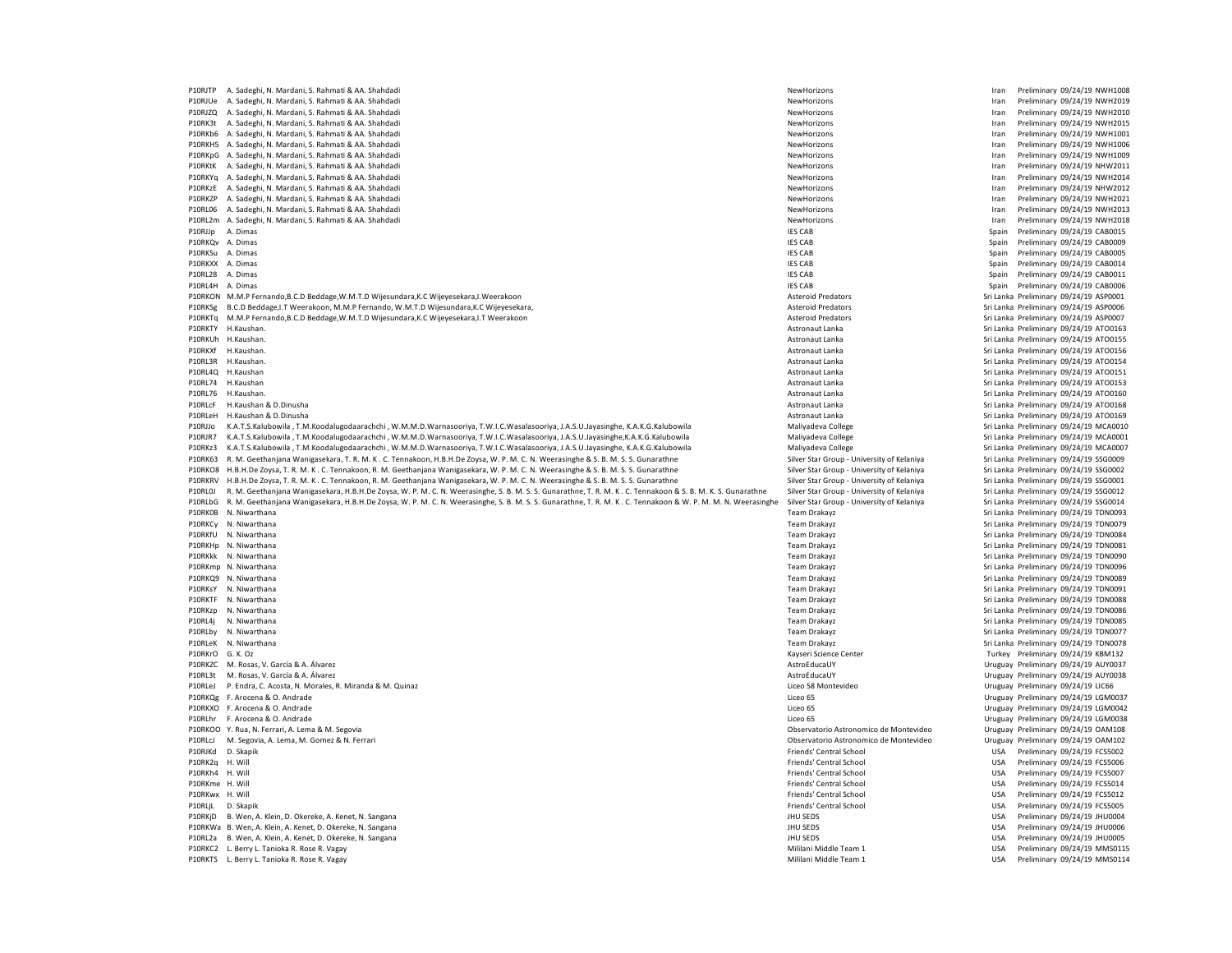P10RJTP A. Sadeghi, N. Mardani, S. Rahmati & AA. Shahdadi NewHorizons Iran Preliminary 09/24/19 NWH1008 P10RJUe A. Sadeghi, N. Mardani, S. Rahmati & AA. Shahdadi NewHorizons NewHorizons NewHorizons NewHorizons Free Members and Desertions Iran Preliminary 09/24/19 NWH2019<br>P10RJZO A. Sadeghi, N. Mardani, S. Rahmati & AA. Shahd P10RJZQ A. Sadeghi, N. Mardani, S. Rahmati & AA. Shahdadi NewHorizons Iran Preliminary 09/24/19 NWH2010 e P10RK3t A. Sadeghi, N. Mardani, S. Rahmati & AA. Shahdadi المستحدث المستحدث المستحدث المستحدث المستحدث المستحدث المستحدث المستحدث المستحدث المستحدث المستحدث المستحدث المستحدث المستحدث المستحدث المستحدث المستحدث المستحدث P10RKb6 A. Sadeghi, N. Mardani, S. Rahmati & AA. Shahdadi P10RKH5 A. Sadeghi, N. Mardani, S. Rahmati & AA. Shahdadi NewHorizons and Samuel Research of Preliminary and Preliminary 09/24/19 NWH1006<br>P10RKpG A. Sadeghi, N. Mardani, S. Rahmati & AA. Shahdadi NewHorizons Iran Prelimina P10RKpG A. Sadeghi, N. Mardani, S. Rahmati & AA. Shahdadi P10RKtK A. Sadeghi, N. Mardani, S. Rahmati & AA. Shahdadi **NewHorizons** NewHorizons NewHorizons Iran Preliminary 09/24/19 NHW2011 P10RKYq A. Sadeghi, N. Mardani, S. Rahmati & AA. Shahdadi NewHorizons and Samuel Company of the Samuel Company of the Samuel Company of Marchani, S. Rahmati & AA. Shahdadi NewHorizons Iran Preliminary 09/24/19 NWH2012<br>P10R P10RKzE A. Sadeghi, N. Mardani, S. Rahmati & AA. Shahdadi NewHorizons Iran Preliminary 09/24/19 NHW2012 P10RKZP A. Sadeghi, N. Mardani, S. Rahmati & AA. Shahdadi NewHorizons Iran Preliminary 09/24/19 NWH2021 P10RL06 A. Sadeghi, N. Mardani, S. Rahmati & AA. Shahdadi NewHorizons and Samuel Research of Preliminary and Preliminary 09/24/19 NWH2013<br>P10R12m A. Sadeghi, N. Mardani, S. Rahmati & AA. Shahdadi NewHorizons Iran Prelimina P10RL2m A. Sadeghi, N. Mardani, S. Rahmati & AA. Shahdadi NewHorizons Iran Preliminary 09/24/19 NWH2018 P10RJJp A. Dimas IES CAB Spain Preliminary 09/24/19 CAB0015 P10RKQv A. Dimas IES CAB Spain Preliminary 09/24/19 CAB0009 P10RKSu A. Dimas Preliminary 09/24/19 CAB0005 (Spain Preliminary 09/24/19 CAB0005 P10RKSu A. Dimas Preliminary 09/24/19 CAB0005<br>P10RKXX A. Dimas Preliminary 09/24/19 CAB0014 Spain Preliminary 09/24/19 CAB0014 P10RL28 A. Dimas IES CAB Spain Preliminary 09/24/19 CAB0011 P10RL4H A. Dimas Spain Preliminary 09/24/19 CAB0006<br>P10RKON M.M.P.Fernando,B.C.D.Beddage,W.M.T.D.Wijesundara,K.C.Wijevesekara,I.Weerakoon Spain Preliminary and Description of Materoid Predators Asteroid Predators Spain Spa P10RKON M.M.P Fernando,B.C.D Beddage,W.M.T.D Wijesundara,K.C Wijeyesekara,I.Weerakoon Asteroid Production Asteroid Predators Asteroid Predators Sri Lanka Preliminary 09/24/19 ASP0001<br>P10RKSg B.C.D Beddage,I.T Weerakoon, M. P10RKSg B.C.D Beddage,I.T Weerakoon, M.M.P Fernando, W.M.T.D Wijesundara,K.C Wijeyesekara, And Maria and Maria Maria Predators and Asteroid Predators and Maria Preliminary 09/24/19 ASP0007<br>P10RKTq M.M.P Fernando,B.C.D Bedd P10RKTq M.M.P Fernando,B.C.D Beddage,W.M.T.D Wijesundara,K.C Wijeyesekara,I.T Weerakoon P10RKTY H.Kaushan. 2002/19 ATO0163 (Particular astronaut Lanka Astronaut Lanka Astronaut Lanka Preliminary 09/24/19 ATO0163<br>P10RKUh H.Kaushan. 2002/19 ATO0155 (Particular astronaut Lanka Astronaut Lanka Astronaut Lanka Pre Sri Lanka Preliminary 09/24/19 ATO0155 P10RKXf H.Kaushan. Astronaut Lanka Sri Lanka Preliminary 09/24/19 ATO0156 P10RL3R H.Kaushan. Astronaut Lanka Sri Lanka Preliminary 09/24/19 ATO0154 Sri Lanka Preliminary 09/24/19 ATO0151 P10RL74 H.Kaushan 2012/19 ATO0153 P10RL74 H.Kaushan Astronaut Lanka Astronaut Lanka Sri Lanka Preliminary 09/24/19 ATO0153<br>P10RL76 H.Kaushan. 2012/19 ATO0160 P10RL74 ATO0160 P10RL74 AStronaut Lanka Astronaut Lanka Sri Lank P10RL76 H.Kaushan. Sri Lanka Preliminary 09/24/19 ATO0160<br>P10RL76 H.Kaushan. Astronaut Lanka Sri Lanka Preliminary 09/24/19 ATO0160<br>P10RL76 H.Kaushan & D.Dinusha ATO0168 ATO0168 Poland Astronaut Lanka National Astronaut Lanka Sri Lanka Preliminary 09/24/19 ATO0168 (Preliminary 199/24/19 ATO0168 Astronaut Lanka Preliminary 09/24/19 ATO0168 P10RLeH H.Kaushan & D.Dinusha Astronaut Lanka Sri Lanka D.Dinusha Astronaut Lanka Sri Lanka Preliminary 09/24/19 ATO0169 P10RJJo KATSKalubowila TM Koodalugodaarachchi WMMD Warnasooriya TWJC Wasalasooriya, JASI Jayasinghe, KAKG Kalubowila Maliyadeva College Sri Janka Preliminary 09/24/19 MCA0010 P10RJR7 K.A.T.S.Kalubowila , T.M.Koodalugodaarachchi , W.M.M.D.Warnasooriya, T.W.I.C.Wasalasooriya, J.A.S.U.Jayasinghe,K.A.K.G.Kalubowila Maliyadeva College Sri Lanka Preliminary 09/24/19 MCA0001 P10RKz3 K.A.T.S.Kalubowila , T.M.Koodalugodaarachchi , W.M.M.D.Warnasooriya, T.W.I.C.Wasalasooriya, J.A.S.U.Jayasinghe, K.A.K.G.Kalubowila Maliyadeva College Sri Lanka Preliminary 09/24/19 MCA0007 P10RK63 R. M. Geethanjana Wanigasekara, T. R. M. K . C. Tennakoon, H.B.H.De Zoysa, W. P. M. C. N. Weerasinghe & S. B. M. S. S. Gunarathne Silver Star Group - University of Kelaniya Sri Lanka Preliminary 09/24/19 SSG0009 P10RKO8 H.B.H.De Zoysa, T. R. M. K . C. Tennakoon, R. M. Geethanjana Wanigasekara, W. P. M. C. N. Weerasinghe & S. B. M. S. S. Gunarathne Silver Star Group - University of Kelaniya Sri Lanka Preliminary 09/24/19 SSG0002<br>P1 P10RKRV H.B.H.De Zoysa, T. R. M. K . C. Tennakoon, R. M. Geethanjana Wanigasekara, W. P. M. C. N. Weerasinghe & S. B. M. S. S. Gunarathne S. B. B. M. K S. Gunarathne Silver Star Group - University of Kelaniya Sri Lanka Pre P10RL0J R. M. Geethanjana Wanigasekara, H.B.H.De Zoysa, W. P. M. C. N. Weerasinghe, S. B. M. S. S. Gunarathne, T. R. M. K. C. Tennakoon & S. B. M. K. S. Gunarathne P10RLbG R. M. Geethaniana Wanigasekara, H.B.H.De Zoysa, W. P. M. C. N. Weerasinghe, S. B. M. S. S. Gunarathne, T. R. M. K. C. Tennakoon & W. P. M. M. Weerasinghe Silver Star Group - University of Kelaniya Scientinary 09/24 P10RK0B N. Niwarthana **Team Drakayz** Sri Lanka Preliminary 09/24/19 TDN0093 P10RKCy N. Niwarthana 2002/19 TDN0079 P10RKCy N. Niwarthana Team Drakayz Sri Lanka Preliminary 09/24/19 TDN0079<br>P10RKfl N. Niwarthana 2002/19 TDN0084 P10RKfU N. Niwarthana 2002/24/19 TDN0084 Preliminary 09/24/19 TDN0084<br>P10RKHp N. Niwarthana 2002/24/19 TDN0081 Premi Drakayz Sri Lanka Preliminary 09/24/19 TDN0081 P10RKHp N. Niwarthana 2012/19 TDN0081 (Sti Lanka Preliminary 09/24/19 TDN0081 Pam Drakayz 2012/19 Team Drakayz Sri Lanka Preliminary 09/24/19 TDN0081<br>P10RKkk N. Niwarthana 2012/19 TDN0090 P10R10120 Pam Drakayz 2012/19 Team Sri Lanka Preliminary 09/24/19 TDN0090 P10RKmp N. Niwarthana 2012/19 TDN0096 P10RKmp N. Niwarthana Team Drakayz Sri Lanka Preliminary 09/24/19 TDN0096<br>P10RKQ9 N. Niwarthana 2012/19 TDN0089 P10RKmp N. Niwarthana Preliminary 09/24/19 TDN0089 Sri Lanka Preliminary 09/24/19 TDN0089 P10RKsY N. Niwarthana 2007/24/19 TDN0091 November 2008 2012 12:00 2012 12:00 2013 2014 12:00 2014 12:00 2014 12:00 2014 2015 2016 2017 2018 2019 2017 2018 2019 2019 2012 2013 2016 2017 2018 2019 2019 2019 2019 2019 2019 20 P10RKTF N. Niwarthana **Team Drakayz** Sri Lanka Preliminary 09/24/19 TDN0088 P10RKzp N. Niwarthana Team Drakayz Sri Lanka Preliminary 09/24/19 TDN0086 P10RL4j N. Niwarthana 2012/19 TDN0085 (Sri Lanka Preliminary 09/24/19 TDN0085 P10RL4j N. Niwarthana Preliminary 09/24/19 TDN0085<br>P10RLby N. Niwarthana 2012/19 TDN0077 Premi Draka Preliminary 09/24/19 TDN0077 Premi Draka Pr Physics Team Drakayz Camera Communications (Sri Lanka Preliminary 09/24/19 TDN0077<br>
Peam Drakayz Camera Communications (Sri Lanka Preliminary 09/24/19 TDN0078 P10RLeK N. Niwarthana 209/24/19 TDN0078 (Sti Lanka Preliminary 09/24/19 TDN0078 P10RLeX N. Niwarthana Preliminary 09/24/19 TDN0078<br>P10RKrO G. K. Oz Preliminary 09/24/19 KBM132 P10RKayseri Science Center Turkey Preliminary 09/24/19 KBM132<br>AstroFducallY Actroform Turkey Preliminary 09/24/19 ALIYON37 P10RKZC M. Rosas, V. García & A. Álvarez **AstroEducaUY** AstroEducaUY AstroEducaUY Uruguay Preliminary 09/24/19 AUY0037 P10RL3t M. Rosas, V. García & A. Álvarez Murada Auyona a Murada a Murada a Murada a Murada a Murada a Murada a Murada a Murada a Murada a Murada a Murada a Uruguay Preliminary 09/24/19 AUY0038 P10RLeJ P. Endra, C. Acosta, N. Morales, R. Miranda & M. Quinaz P10RKQg F. Arocena & O. Andrade Changeles and the Changeles Changeles Changeles Changeles Changeles Changeles Changeles Changeles Changeles Changeles Changeles Changeles Changeles Changeles Changeles Changeles Changeles Ch Liceo 65 **Participal Arocena Arocena Arocena Arocena Arocena Arocena Arocena Arocena Arocena Arocena Arocena Arocena Arocena Arocena Arocena Arocena Arocena Arocena Arocena Arocena Arocena Arocena Arocena Arocena Arocena A** P10RLhr F. Arocena & O. Andrade N. Segovia Company and the Chinama and the Chinama and the Chinama and the Chinama and the Chinama and the Chinama and the Chinama of Preliminary 09/24/19 LGM0038<br>P10RKOO Y. Rua, N. Ferrari, P10RKOO Y. Rua, N. Ferrari, A. Lema & M. Segovia **Observatorio Astronomico de Montevideo** Uruguay Preliminary 09/24/19 OAM108<br>P10RLcl M. Segovia A. Lema M. Gomez & N. Ferrari **New York Content Content Content Content Conte** P10RLcJ M. Segovia, A. Lema, M. Gomez & N. Ferrari Observatorio Astronomico de Montevideo Uruguay Preliminary Preliminary Preliminary Preliminary Preliminary Preliminary Preliminary Preliminary Preliminary Preliminary Prel P10RJKd D. Skapik USA Preliminary 09/24/19 FCS5002<br>P10RK2q H. Will Sammany 09/24/19 FCS5006 Priends' Central School Friends' Central School USA Preliminary 09/24/19 FCS5006 P10RK2q H. Will Friends' Central School USA Preliminary 09/24/19 FCS5006 P10RKh4 H. Will Friends' Central School USA Preliminary 09/24/19 FCS5007 P10RKme H. Will Channel USA Preliminary 09/24/19 FCS5014<br>Priends' Central School Channel USA Preliminary 09/24/19 FCS5014<br>Priends' Central School LISA Preliminary 09/24/19 FCS6012 P10RKwx H. Will Friends' Central School USA Preliminary 09/24/19 FCS5012 P10RLjL D. Skapik USA Preliminary 09/24/19 FCS5005 الكامل Friends' Central School Friends' Central School و P10RLjL<br>Photos Hull SEDS Hull SEDS USA Preliminary 09/24/19 JHU SEDS USA Preliminary 09/24/19 JHU O004 P10RKjD B. Wen, A. Klein, D. Okereke, A. Kenet, N. Sangana P10RKWa B. Wen, A. Klein, A. Kenet, D. Okereke, N. Sangana JHU SEDS USA Preliminary 09/24/19 JHU0006 P10RL2a B. Wen, A. Klein, A. Kenet, D. Okereke, N. Sangana JHU SEDS USA Preliminary 09/24/19 JHU0005 P10RKC2 L. Rerry L. Tanioka R. Rose R. Vagay Nagar Nagar Nagar Nagar Nagar Nagar Nagar Nagar Nagar Nagar Nagar Nagar Nagar Nagar Nagar Nagar Nagar Nagar Nagar Nagar Nagar Nagar Nagar Nagar Nagar Nagar Nagar Nagar Nagar Nag P10RKTS L. Berry L. Tanioka R. Rose R. Vagay Channel Company of Mililani Middle Team 1 USA Preliminary 09/24/19 MMS0114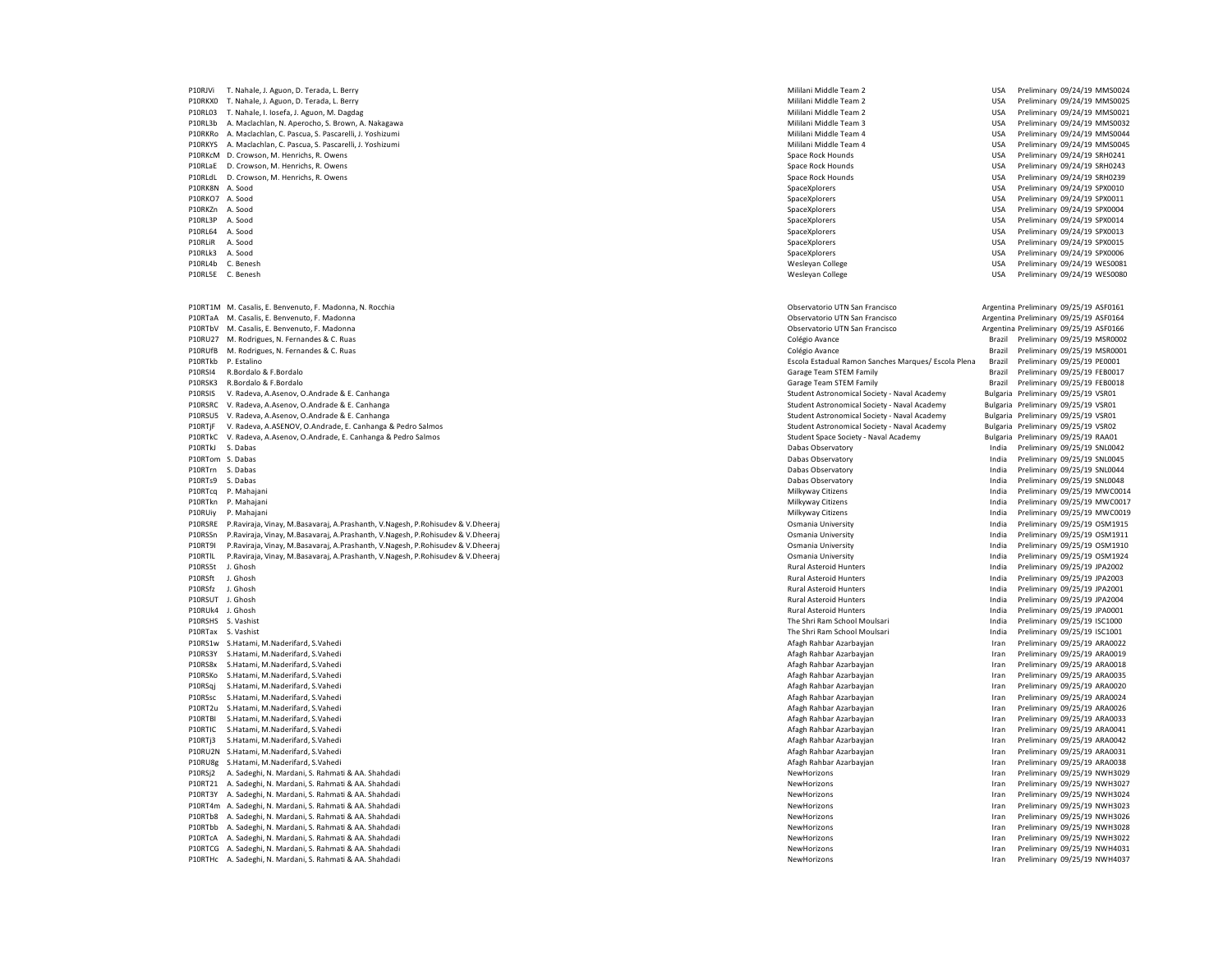P10RL03 T. Nahale, I. Iosefa, J. Aguon, M. Dagdag P10RKRo A. Maclachlan, C. Pascua, S. Pascarelli, J. Yoshizumi Mililani Middle Team 4 USA Preliminary 09/24/19 MMS0044 P10RLaE D. Crowson, M. Henrichs, R. Owens P10RTaA M. Casalis, E. Benvenuto, F. Madonna P10RU27 M. Rodrigues, N. Fernandes & C. Ruas P10RTjF V. Radeva, A.ASENOV, O.Andrade, E. Canhanga & Pedro Salmos Student Astronomical Society - Naval Academy Bulgaria Preliminary 09/25/19 VSR02 P10RTlL P.Raviraja, Vinay, M.Basavaraj, A.Prashanth, V.Nagesh, P.Rohisudev & V.Dheeraj P10RS3Y S.Hatami, M.Naderifard, S.Vahedi<br>P10RS8x S.Hatami M.Naderifard S.Vahedi P10RSqj S.Hatami, M.Naderifard, S.Vahedi Afagh Rahbar Azarbayjan Iran Preliminary 09/25/19 ARA0020 P10RT2u S.Hatami, M.Naderifard, S.Vahedi Afagh Rahbar Azarbayjan Iran Preliminary 09/25/19 ARA0026 P10RTIC S.Hatami, M.Naderifard, S.Vahedi Afagh Rahbar Azarbayjan Iran Preliminary 09/25/19 ARA0041 P10RU8g S.Hatami, M.Naderifard, S.Vahedi Afagh Rahbar Azarbayjan Iran Preliminary 09/25/19 ARA0038 P10RTb8 A. Sadeghi, N. Mardani, S. Rahmati & AA. Shahdadi NewHorizons Iran Preliminary 09/25/19 NWH3026 P10RTcA A. Sadeghi, N. Mardani, S. Rahmati & AA. Shahdadi P10RTHc A. Sadeghi, N. Mardani, S. Rahmati & AA. Shahdadi NewHorizons Iran Preliminary 09/25/19 NWH4037

P10RJVi T. Nahale, J. Aguon, D. Terada, L. Berry Champion and Mililani Middle Team 2 USA Preliminary 09/24/19 MMS0024<br>P10RKXO T. Nahale, J. Aguon, D. Terada, L. Berry Champion and Mililani Middle Team 2 USA Preliminary 09/ P10RKX0 T. Nahale, J. Aguon, D. Terada, L. Berry Campion and Mililani Mililani Middle Team 2 USA Preliminary 09/24/19 MMS0025<br>P10RL03 T. Nahale, I. Iosefa, J. Aguon, M. Dagdag 2002 And Dagdag 2003 USA Preliminary 09/24/19 P10RL3b A. Maclachlan, N. Aperocho, S. Brown, A. Nakagawa Mililani Mililani Middle Team 3 USA Preliminary 09/24/19 MMS0032<br>P10RKRo A. Maclachlan, C. Pascua, S. Pascarelli, J. Yoshizumi Mililani Mililani Mililani Mililani M P10RKYS A. Maclachlan, C. Pascua, S. Pascarelli, J. Yoshizumi Mililani Middle Team 4 Mililani Middle Team 4 Mililani Middle Team 4 USA Preliminary 09/24/19 MMS0045<br>P10RKcM D. Crowson, M. Henrichs, R. Owens P10RKcM D. Crowson, M. Henrichs, R. Owens Space Rock Hounds Space Rock Hounds Space Rock Hounds USA Preliminary 09/24/19 SRH0241<br>P10RLaF D. Crowson M. Henrichs R. Owens Space Rock Hounds Space Rock Hounds Space Rock Hounds P10RLdL D. Crowson, M. Henrichs, R. Owens November 2008 and the Space Rock Hounds Dealer Rock Hounds Dealer Management of the Space Rock Hounds Dealer Management DSA Preliminary 09/24/19 SRH0239<br>P10RK8N A. Sood Preliminary P10RK8N A. Sood SpaceXplorers USA Preliminary 09/24/19 SPX0010 P10RKO7 A. Sood SpaceXplorers USA Preliminary 09/24/19 SPX0011 P10RKZn A. Sood SpaceXplorers USA Preliminary 09/24/19 SPX0004 P10RL3P A. Sood SpaceXplorers USA Preliminary 09/24/19 SPX0014 P10RL64 A. Sood SpaceXplorers USA Preliminary 09/24/19 SPX0013 P10RLiR A. Sood SpaceXplorers USA Preliminary 09/24/19 SPX0015 P10RLk3 A. Sood SpaceXplorers USA Preliminary 09/24/19 SPX0006 P10RL4b C. Benesh Wesleyan College USA Preliminary 09/24/19 WES0081 Wesleyan College **Wesleyan College** USA Preliminary 09/24/19 WES0080 P10RT1M M. Casalis, E. Benvenuto, F. Madonna, N. Rocchia **Observatorio E. P. A. Rocchia Casacia Casacia** Observatorio UTN San Francisco **Argentina Preliminary 09/25/19 ASF0161**<br>P10RTaA M. Casalis, E. Benvenuto, F. Madonna P10RTbV M. Casalis, E. Benvenuto, F. Madonna Observatorio UTN San Francisco Argentina Preliminary 09/25/19 ASF0166 P10RUfB M. Rodrigues, N. Fernandes & C. Ruas Colégio Avance Colégio Avance Colégio Avance Preliminary 09/25/19 MSR0001 P10RTkb P. Estalino Preliminary 09/25/19 PE0001<br>P10RSI4 R.Bordalo Brazil Preliminary 09/25/19 PE0001<br>P10RSI4 R.Bordalo Brazil Preliminary 09/25/19 FEB001 Brazil Preliminary 09/25/19 FEB0017 P10RSK3 R.Bordalo & F.Bordalo Brazil Preliminary 09/25/19 FEB0018<br>P10RSIS V.Radeva, A.Asenov, O.Andrade & E. Canhanga entropy and the state of the state of the Student Astronomical Society - Naval Academy Bulgaria Prelimin P10RSIS V. Radeva, A.Asenov, O.Andrade & E. Canhanga Student Astronomical Society - Naval Academy Student Astronomical Society - Naval Academy Bulgaria Preliminary 09/25/19 VSR01<br>P10RSRC V Radeva, A Asenov O Andrade & E. C P10RSRC V. Radeva, A.Asenov, O.Andrade & E. Canhanga Student Astronomical Society - Marchael Student Astronomical Society - Naval Academy Student Astronomical Society - Naval Academy Bulgaria Preliminary 09/25/19 VSR01<br>P10 P10RSU5 V. Radeva, A.Asenov, O.Andrade & E. Canhanga Student Astronomical Society - Naval Academy Academy Bulgaria Preliminary 09/25/19 VSR01<br>P10RTiF V Radeva A ASENOV O Andrade E Canhanga & Pedro Salmos Student Astronomic P10RTkC V. Radeva, A.Asenov, O.Andrade, E. Canhanga & Pedro Salmos Student Space Society - Naval Academy Student Space Society - Naval Academy Bulgaria Preliminary 09/25/19 RAA01 erich S. Dabas Dabas Dabas Dabas Dabas Dabas Dabas Dabas Dabas Dabas Dabas Dabas Dabas Dabas Dabas Dabas Dabas Dabas Dabas Dabas Dabas Dabas Dabas Dabas Dabas Dabas Dabas Dabas Dabas Dabas Dabas Dabas Dabas Dabas Dabas Dab P10RTom S. Dabas Dabas Observatory India Preliminary 09/25/19 SNL0045 P10RTrn S. Dabas Dabas Observatory India Preliminary 09/25/19 SNL0044 P10RTs9 S. Dabas Dabas Observatory India Preliminary 09/25/19 SNL0048 P10RTcq P. Mahajani Milkyway Citizens India Preliminary 09/25/19 MWC0014 P10RTkn P. Mahajani Milkyway Citizens India Preliminary 09/25/19 MWC0017 P10RUiy P. Mahajani Milkyway Citizens India Preliminary 09/25/19 MWC0019 مية P10RSRE P.Raviraja, Vinay, M.Basavaraj, A.Prashanth, V.Nagesh, P.Rohisudev & V.Dheeraj و المستخدم المستخدم المستخدم المستخدم المستخدم المستخدم المستخدم المستخدم المستخدم المستخدم المستخدم المستخدم المستخدم المستخدم ال P10RSSn P.Raviraja, Vinay, M.Basavaraj, A.Prashanth, V.Nagesh, P.Rohisudev & V.Dheeraj Osmania University India Preliminary 09/25/19 OSM1911 P10RT9I P.Raviraja, Vinay, M.Basavaraj, A.Prashanth, V.Nagesh, P.Rohisudev & V.Dheeraj Osmania University India Preliminary 09/25/19 OSM1910 P10RS5t J. Ghosh Production and Preliminary 09/25/19 JPA2002<br>P10RSft J. Ghosh Production and Preliminary 09/25/19 JPA2003<br>P10RSft J. Ghosh Preliminary 09/25/19 JPA2003 Preliminary 09/25/19 JPA2003 P10RSfz J. Ghosh Rural Asteroid Hunters India Preliminary 09/25/19 JPA2001 P10RSUT J. Ghosh Rural Asteroid Hunters India Preliminary 09/25/19 JPA2004 P10RUk4 J. Ghosh Rural Asteroid Hunters India Preliminary 09/25/19 JPA0001 P10RSHS S. Vashist November 2022/19 ISC1000 P10RSHS S. Vashist Preliminary 09/25/19 ISC1000<br>P10RTax S. Vashist Preliminary 09/25/19 ISC1001 Preliminary 09/25/19 ISC1001 P10RS1w S.Hatami, M.Naderifard, S.Vahedi engles and the security of the security of the security of the security of the security of the security of the security of the security of the security of the security of the securi P10RS8x S.Hatami, M.Naderifard, S.Vahedi Afagh Rahbar Azarbayjan Iran Preliminary 09/25/19 ARA0018 P10RSKo S.Hatami, M.Naderifard, S.Vahedi engles and the security of the security of the security of the security of the security of the security of the security of the security of the security of the security of the securi P10RSsc S.Hatami, M.Naderifard, S.Vahedi engles and the security of the security of the security of the security of the security of the security of the security of the security of the security of the security of the securi P10RTBI S.Hatami, M.Naderifard, S.Vahedi Martia amb and the studies of the studies of the material of the studies of the studies of the material and the material and the material and the material of the material of the mat P10RTi3 S.Hatami, M.Naderifard, S.Vahedi **American Afagh Rahbar Azarbayian Afagh Rahbar Azarbayian** Iran Preliminary 09/25/19 ARA0042 P10RU2N S.Hatami, M.Naderifard, S.Vahedi amb and the material and the studies of the material and the material of the material and the material and the material and the material and the material and the material and the ma P10RSj2 A. Sadeghi, N. Mardani, S. Rahmati & AA. Shahdadi NewHorizons and Samuel Research of Preliminary and San Annual Samuel Research of Preliminary 09/25/19 NWH3027<br>P10RT21 A. Sadeghi, N. Mardani, S. Rahmati & AA. Shahd P10RT21 A. Sadeghi, N. Mardani, S. Rahmati & AA. Shahdadi NewHorizons NewHorizons NewHorizons NewHorizons Preliminary 09/25/19 NWH3027 NewHorizons Iran Preliminary 09/25/19 NWH3024<br>P10RT3Y A. Sadeghi, N. Mardani, S. Rahmat of Peliminary O9/25/19 NWH3024 (Particular and Martia Company of Peliminary O9/25/19 NWH3024 (Particular and Martia Company of Peliminary O9/25/19 NWH3023<br>P10RT4m A. Sadeghi, N. Mardani, S. Rahmati & AA. Shahdadi NewHorizo ering and the Martia Martia and Samuel and Samuel and Samuel and Samuel and Samuel And Samuel and Samuel And Samuel and Samuel and Samuel And Samuel and Samuel and Samuel and Samuel and Samuel and Samuel and Samuel and Sam P10RTbb A. Sadeghi, N. Mardani, S. Rahmati & AA. Shahdadi NewHorizons Iran Preliminary 09/25/19 NWH3028 P10RTCG A. Sadeghi, N. Mardani, S. Rahmati & AA. Shahdadi NewHorizons NewHorizons NewHorizons NewHorizons Iran Preliminary 09/25/19 NWH4031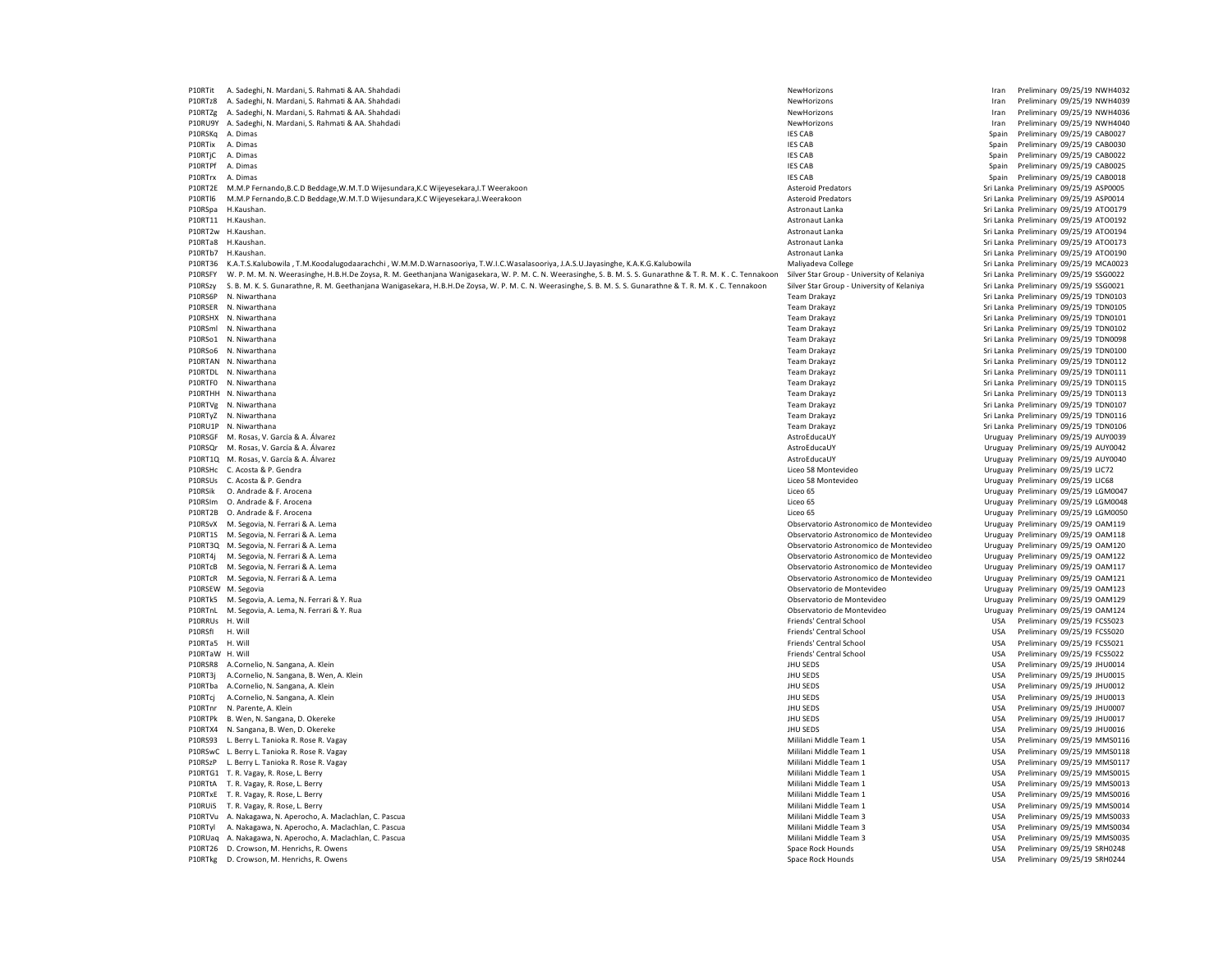P10RTit A. Sadeghi, N. Mardani, S. Rahmati & AA. Shahdadi NewHorizons Iran Preliminary 09/25/19 NWH4032 P10RTz8 A. Sadeghi, N. Mardani, S. Rahmati & AA. Shahdadi NewHorizons and Samuel States and States and States and States and States and States and States and States and States and Preliminary 09/25/19 NWH4036<br>P10RTze A. Sa P10RTZg A. Sadeghi, N. Mardani, S. Rahmati & AA. Shahdadi NewHorizons Iran Preliminary 1976 NewHorizons Iran Preliminary 1976 NewHorizons Iran Preliminary 1976 P10RU9Y A. Sadeghi, N. Mardani, S. Rahmati & AA. Shahdadi NewHorizons and Shahdadi NewHorizons and the Shah Preliminary 09/25/19 NWH4040<br>P10RSKo A. Dimas Preliminary 09/75/19 CAR0077 P10RSKq A. Dimas Spain Preliminary 09/25/19 CAB0027<br>P10RTiv A. Dimas Spain Preliminary 09/25/19 CAB0027<br>P10RTiv A. Dimas Spain Preliminary 09/25/19 CAB0030 P10RTix A. Dimas IES CAB Spain Preliminary 09/25/19 CAB0030 P10RTjC A. Dimas IES CAB Spain Preliminary 09/25/19 CAB0022 P10RTPf A. Dimas IES CAB Spain Preliminary 09/25/19 CAB0025 P10RTrx A. Dimas Spain Preliminary 09/25/19 CAB0018<br>P10RT2E M.M.P. Fernando,B.C.D Beddage,W.M.T.D Wijesundara,K.C Wijevesekara,J.T Weerakoon Spain Preliminary 09/25/19 ASP0005 P10RT2E M.M.P Fernando,B.C.D Beddage,W.M.T.D Wijesundara,K.C Wijeyesekara,I.T Weerakoon P10RTl6 M.M.P Fernando,B.C.D Beddage,W.M.T.D Wijesundara,K.C Wijeyesekara,I.Weerakoon Asteroid Predators Asteroid Predators Asteroid Predators Sri Lanka Preliminary 09/25/19 ASP0014<br>P10RSpa H.Kaushan. Sri Lanka Preliminary P10RSpa H.Kaushan. 2002/19 ATO0179 (Sri Lanka Preliminary 09/25/19 ATO0179 P10RSpa H.Kaushan. Sri Lanka Preliminary 09/25/19 ATO0179 ATO0179 ATO0179 ATO0179 ATO0179 ATO0179 ATO0179 ATO0179 ATO0197 ATO0197 ATO0197 ATO0197 A of the matter of the matter of the matter of the matter of the matter of the matter of the matter of the matter of the matter of the matter of the matter of the matter of the matter of the matter of the matter of the matte P10RT2w H.Kaushan. 2012/19 ATO0194 P10RT2w H.Kaushan. Astronaut Lanka Astronaut Lanka Sri Lanka Preliminary 09/25/19 ATO0194<br>P10RTa8 H.Kaushan. 2012/19 ATO0173 P10RT2m 2012/19 ATO0173 P10RT2m 2012/19 AStronaut Lanka Sri L P10RTb7 H.Kaushan. Sri Lanka Preliminary 09/25/19 ATO0190<br>P10RT36 K.A.T.S.Kalubowila T.M.Koodalugodaarachchi , W.M.M.D.Warnasooriya T.W.I.C.Wasalasooriya J.A.S.U.Jayasinghe, K.A.K.G.Kalubowila Maliyadeva College San and Ma P10RT36 K.A.T.S.Kalubowila , T.M.Koodalugodaarachchi , W.M.M.D.Warnasooriya, T.W.I.C.Wasalasooriya, J.A.S.U.Jayasinghe, K.A.K.G.Kalubowila P10RSFY W. P. M. M. M. Weerasinghe, H.B.H.De Zoysa, R. M. Geethanjana Wanigasekara, W. P. M. C. N. Weerasinghe, S. B. M. S. S. Gunarathne & T. R. M. K. C. Tennakoon Silver Star Group - University of Kelaniya Sri Lanka Prel P10RSzy S. B. M. K. S. Gunarathne, R. M. Geethanjana Wanigasekara, H.B.H.De Zoysa, W. P. M. C. N. Weerasinghe, S. B. M. S. S. Gunarathne & T. R. M. K. C. Tennakoon Silver Star Group - University of Kelaniya<br>P10BSGP N Niwer P10RS6P N. Niwarthana 2002/25/19 TDN0103<br>P10RSER N. Niwarthana 2002/25/19 TDN0105<br>P10RSER N. Niwarthana 2002/25/19 TDN0105 P10RSER N. Niwarthana 2007/25/19 TDN0105 P10RSER N. Niwarthana 2007/25/19 TDN0105<br>P10RSHX N. Niwarthana 2007/25/19 TDN0101 P10RSml N. Niwarthana 2002/25/19 TDN0102 PHORSml N. Niwarthana Team Drakayz Sri Lanka Preliminary 09/25/19 TDN0102<br>P10RSo1 N. Niwarthana 2002/25/19 TDN0098 Pampa Drakayz Team Drakayz Sri Lanka Preliminary 09/25/19 TDN0098 P10RSo6 N. Niwarthana Team Drakayz Sri Lanka Preliminary 09/25/19 TDN0100 P10RTAN N. Niwarthana 2002/5/19 TDN0112 10RTAN N. Niwarthana Team Drakayz Sri Lanka Preliminary 09/25/19 TDN0112<br>P10RTDL N. Niwarthana 2002/5/19 TDN0111 2012/09/25/19 TDN0111 P10RTF0 N. Niwarthana 2002/5/19 TDN0115 Pampra and the state of the control of the control of the control of the control of the control of the control of the control of the control of the control of the control of the cont P10RTVg N. Niwarthana 2002/25/19 TDN0107 Pampra Sri Lanka Preliminary 09/25/19 TDN0107<br>P10RTvZ N. Niwarthana 2002/25/19 TDN0116 P10RTyZ N. Niwarthana 2002/5/19 TDN0116 Preliminary 09/25/19 TDN0116 Preliminary 09/25/19 TDN0116 Preliminary 09/25/19 TDN0116 Preliminary 09/25/19 TDN0116 Preliminary 09/25/19 TDN0106 Preliminary 09/25/19 TDN0106 Prelimin P10RU1P N. Niwarthana Team Drakayz Sri Lanka Preliminary 09/25/19 TDN0106 P10RSGF M. Rosas, V. García & A. Álvarez en Electronical and a terminary ostroEducaUY and a controlled a controlled a controlled a controlled a controlled a controlled a controlled a controlled a controlled a controlled a P10RT1Q M. Rosas, V. García & A. Álvarez en Electronica en Electronica en Electronica en ElectroPata a Constantinary OS en ElectroPata a Constantinary OS/25/19 AUY0040<br>P10RSHc C. Acosta & P. Gendra Preliminary 09/25/19 LIC P10RSHc C. Acosta & P. Gendra Controller and the Same States of the Same Controller and the SS Montevideo (Pre<br>P10RSUs C. Acosta & P. Gendra Preliminary 09/25/19 LIC68 P10RSUs C. Acosta & P. Gendra Montevideo Dente and States and States and States of Technology 25/19 LIC68 Montevideo Uruguay Preliminary 09/25/19 LIC68<br>P10RSik O. Andrade & F. Arocena Dente and States and States and States P10RSik O. Andrade & F. Arocena and a compare a material control of the control of the control of the control of the control of the control of the control of the control of the control of the control of the control of the P10RT2B O. Andrade & F. Arocena Liceo 65 Uruguay Preliminary 09/25/19 LGM0050<br>P10RSvX M. Segovia, N. Ferrari & A. Lema Liceo Andrea Liceo 65 Uruguay Preliminary 09/25/19 OAM119 P10RSvX M. Segovia, N. Ferrari & A. Lema Chronomico de Montevideo Enterario Astronomico de Montevideo Uruguay Preliminary 09/25/19 OAM119<br>P10RT1S M. Segovia, N. Ferrari & A. Lema Chronomico de Montevideo Uruguay Preliminar P10RT1S M. Segovia, N. Ferrari & A. Lema 
PERRETA LEMA NEW PROVIDENT AND RETAINING ASTRONOMICO CONTENT MANUSICAL CONTENT OF THE SECOND ASTRONOMICO CONTENT OF THE ORIGINAL URUGUAY PREMINIARY 09/25/19 OAM118<br>P10RT3Q M. Segov P10RT3Q M. Segovia, N. Ferrari & A. Lema 
PERREGISTION AND ANNOUNCED AND REGISTION MANUSICAL CONSERVATOR CONSERVATOR CONTENTION OBSERVATOR CONTENTION OBSERVATOR OR URUGUAY PRELIMINARY OBJES JEBI OAMNES AND PRELIMINARY OBJE P10RT4j M. Segovia, N. Ferrari & A. Lema P10RTcB M. Segovia, N. Ferrari & A. Lema 2017/19 Chematorio Astronomico de Montevideo Montevideo Uruguay Preliminary 09/25/19 OAM117<br>P10RTcR M. Segovia, N. Ferrari & A. Lema 2017/19 OAM121 P10RTcR M. Segovia, N. Ferrari & A. Lema P10RSEW M. Segovia Observatorio de Montevideo Uruguay Preliminary 09/25/19 OAM123 P10RTk5 M. Segovia, A. Lema, N. Ferrari & Y. Rua **Observatorio de Montevideo Campachia Campachia Campachia Campachia Campachia Campachia Campachia Campachia Campachia Campachia Campachia Campachia Campachia Campachia Campa** P10RTnL M. Segovia, A. Lema, N. Ferrari & Y. Rua Observatorio de Montevideo Uruguay Preliminary Preliminary Pre P10RRUs H. Will Friends' Central School و Stendard USA Preliminary 09/25/19 FCS5023<br>Priends' Central School و Priends' Central School USA Preliminary 09/25/19 FCS5020<br>Priends' Central School USA Preliminary 09/25/19 FCS50 P10RTa5 H. Will Friends' Central School و USA Preliminary 09/25/19 FCS5021<br>P10RTaW H. Will Friends' Central School USA Preliminary 09/25/19 FCS5022 P10RTaW H. Will Friends' Central School USA Preliminary 09/25/19 FCS5022 P10RSR8 A.Cornelio, N. Sangana, A. Klein JHU SEDS USA Preliminary 09/25/19 JHU O014 P10RT3j A.Cornelio, N. Sangana, B. Wen, A. Klein JHU SEDS USA Preliminary 09/25/19 JHU0015 P10RTba A.Cornelio, N. Sangana, A. Klein P10RTcj A.Cornelio, N. Sangana, A. Klein JHU SEDS USA Preliminary 09/25/19 JHU0013 P10RTnr N. Parente, A. Klein 209/25/19 JHU SEDS USA Preliminary 09/25/19 JHU SEDS USA Preliminary 09/25/19 JHU0007<br>P10RTPk B. Wen. N. Sangana. D. Okereke P10RTPk B. Wen, N. Sangana, D. Okereke المستحدث المستحدث المستحدث المستحدث المستحدث المستحدث المستحدث المستحدث المستحدث المستحدث المستحدث المستحدث المستحدث المستحدث المستحدث المستحدث المستحدث المستحدث المستحدث المستحدث ال P10RTX4 N. Sangana, B. Wen, D. Okereke Jusa Preliminary of the Sanga Preliminary of the Sangara Preliminary of the Sangara Dusa Preliminary of the Sangara Preliminary of the Sangara Preliminary of the Sangara Preliminary o P10RS93 L. Berry L. Tanioka R. Rose R. Vagay NMS0116 Case and Tanioka R. Rose R. Vagay NMS0116 Case R. Vagay NMS0116 Case R. Vagay NMS0116 Case R. Vagay NMS0116 Case R. Vagay NMS0116 Case R. Vagay NMS0116 Case R. Vagay NMS P10RSwC L. Berry L. Tanioka R. Rose R. Vagay NMS0118<br>P10RSzP L. Berry L. Tanioka R. Rose R. Vagay NMS0117 NMS0117 NMS and Democratic Democratic Democratic Millani Middle Team 1 USA Preliminary 09/25/19 MMS0117 P10RSzP L. Berry L. Tanioka R. Rose R. Vagay Nasar America Companion and the companion of the companion of the companion of the companion of the companion of the companion of the companion of the companion of the companion P10RTG1 T. R. Vagay, R. Rose, L. Berry Channel Millani Millani Millani Middle Team 1 and the USA Preliminary 09/25/19 MMS0015<br>P10RTtA T. R. Vagay, R. Rose, L. Berry Channel Millani Millani Millani Millani Millani Millani M P10RTtA T. R. Vagay, R. Rose, L. Berry Camera and Camera and Camera and Camera and Camera and Camera and Camera and Camera and Camera and Camera and Camera and Camera and Camera and Camera and Camera and Camera and Camera P10RTxE T. R. Vagay, R. Rose, L. Berry Mililani Middle Team 1 USA Preliminary 09/25/19 MMS0016 P10RUIS T. R. Vagay, R. Rose, L. Berry Preliminary 09/25/19 MMS0014<br>P10RTVu A. Nakagawa, N. Aperocho, A. Maclachlan, C. Pascua Preliminary C. Pascua Preliminary 09/25/19 MMS0033 P10RTVu A. Nakagawa, N. Aperocho, A. Maclachlan, C. Pascua  $\begin{tabular}{c} \bf{P1ORT} & \bf{A.} \bf{Nakagawa, N.} \bf{Aperochon, A.} \bf{A.} \bf{A.} \bf{A.} \bf{A.} \bf{A.} \bf{A.} \bf{A.} \bf{A.} \bf{A.} \bf{A.} \bf{A.} \bf{A.} \bf{A.} \bf{A.} \bf{A.} \bf{A.} \bf{A.} \bf{A.} \bf{A.} \bf{A.} \bf{A.} \bf{A.} \bf{A.} \bf{A.} \bf{A.} \bf{A.} \bf{A.} \bf{A.} \bf{A.} \bf$ P10RUaq A. Nakagawa, N. Aperocho, A. Maclachlan, C. Pascua P10RT26 D. Crowson, M. Henrichs, R. Owens Case Company of Case Rock Hounds Space Rock Hounds News Space Rock Hounds News Space Rock Hounds News Space Rock Hounds News Space Rock Hounds News Space Rock Hounds News Space Roc P10RTkg D. Crowson, M. Henrichs, R. Owens Space Rock Hounds Space Rock Hounds Space Rock Hounds USA Preliminary 09/25/19 SRH0244

P10RTa8 H.Kaushan. Astronaut Lanka Sri Lanka Preliminary 09/25/19 ATO0173 Sri Lanka Preliminary 09/25/19 TDN0101 Sri Lanka Preliminary 09/25/19 TDN0098 Philm Team Drakayz **Philode State State State State State State State State State State State State State State State State State State State State State State State State State State State State State State State State St** Sri Lanka Preliminary 09/25/19 TDN0113 P10RSQr M. Rosas, V. García & A. Álvarez AstroEducaUY Uruguay Preliminary 09/25/19 AUY0042 P10RSIm O. Andrade & F. Arocena Liceo 65 Uruguay Preliminary 09/25/19 LGM0048 USA Preliminary 09/25/19 FCS5020